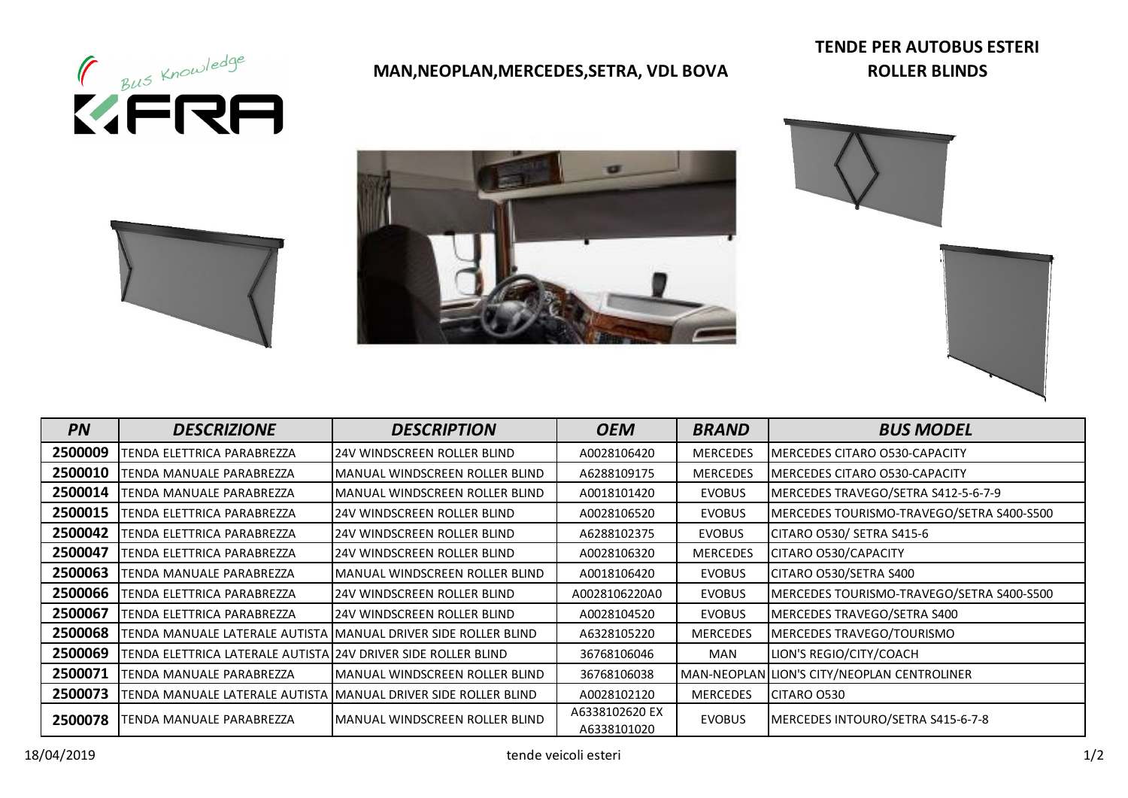

**MAN,NEOPLAN,MERCEDES,SETRA, VDL BOVA**

## **TENDE PER AUTOBUS ESTERI ROLLER BLINDS**









| PN      | <b>DESCRIZIONE</b>                                              | <b>DESCRIPTION</b>              | <b>OEM</b>                    | <b>BRAND</b>    | <b>BUS MODEL</b>                            |
|---------|-----------------------------------------------------------------|---------------------------------|-------------------------------|-----------------|---------------------------------------------|
| 2500009 | TENDA ELETTRICA PARABREZZA                                      | 124V WINDSCREEN ROLLER BLIND    | A0028106420                   | <b>MERCEDES</b> | IMERCEDES CITARO 0530-CAPACITY              |
| 2500010 | TENDA MANUALE PARABREZZA                                        | MANUAL WINDSCREEN ROLLER BLIND  | A6288109175                   | <b>MERCEDES</b> | MERCEDES CITARO 0530-CAPACITY               |
| 2500014 | TENDA MANUALE PARABREZZA                                        | MANUAL WINDSCREEN ROLLER BLIND  | A0018101420                   | <b>EVOBUS</b>   | MERCEDES TRAVEGO/SETRA S412-5-6-7-9         |
| 2500015 | TENDA ELETTRICA PARABREZZA                                      | 124V WINDSCREEN ROLLER BLIND    | A0028106520                   | <b>EVOBUS</b>   | MERCEDES TOURISMO-TRAVEGO/SETRA S400-S500   |
| 2500042 | TENDA ELETTRICA PARABREZZA                                      | 24V WINDSCREEN ROLLER BLIND     | A6288102375                   | <b>EVOBUS</b>   | CITARO 0530/ SETRA S415-6                   |
| 2500047 | TENDA ELETTRICA PARABREZZA                                      | 24V WINDSCREEN ROLLER BLIND     | A0028106320                   | <b>MERCEDES</b> | CITARO 0530/CAPACITY                        |
| 2500063 | TENDA MANUALE PARABREZZA                                        | IMANUAL WINDSCREEN ROLLER BLIND | A0018106420                   | <b>EVOBUS</b>   | CITARO 0530/SETRA S400                      |
| 2500066 | TENDA ELETTRICA PARABREZZA                                      | 124V WINDSCREEN ROLLER BLIND    | A0028106220A0                 | <b>EVOBUS</b>   | MERCEDES TOURISMO-TRAVEGO/SETRA S400-S500   |
| 2500067 | TENDA ELETTRICA PARABREZZA                                      | 124V WINDSCREEN ROLLER BLIND    | A0028104520                   | <b>EVOBUS</b>   | MERCEDES TRAVEGO/SETRA S400                 |
| 2500068 | TENDA MANUALE LATERALE AUTISTA IMANUAL DRIVER SIDE ROLLER BLIND |                                 | A6328105220                   | <b>MERCEDES</b> | MERCEDES TRAVEGO/TOURISMO                   |
| 2500069 | TENDA ELETTRICA LATERALE AUTISTA 24V DRIVER SIDE ROLLER BLIND   |                                 | 36768106046                   | MAN             | LION'S REGIO/CITY/COACH                     |
| 2500071 | TENDA MANUALE PARABREZZA                                        | IMANUAL WINDSCREEN ROLLER BLIND | 36768106038                   |                 | MAN-NEOPLAN LION'S CITY/NEOPLAN CENTROLINER |
| 2500073 | TENDA MANUALE LATERALE AUTISTA IMANUAL DRIVER SIDE ROLLER BLIND |                                 | A0028102120                   | <b>MERCEDES</b> | CITARO 0530                                 |
| 2500078 | TENDA MANUALE PARABREZZA                                        | IMANUAL WINDSCREEN ROLLER BLIND | A6338102620 EX<br>A6338101020 | <b>EVOBUS</b>   | MERCEDES INTOURO/SETRA S415-6-7-8           |